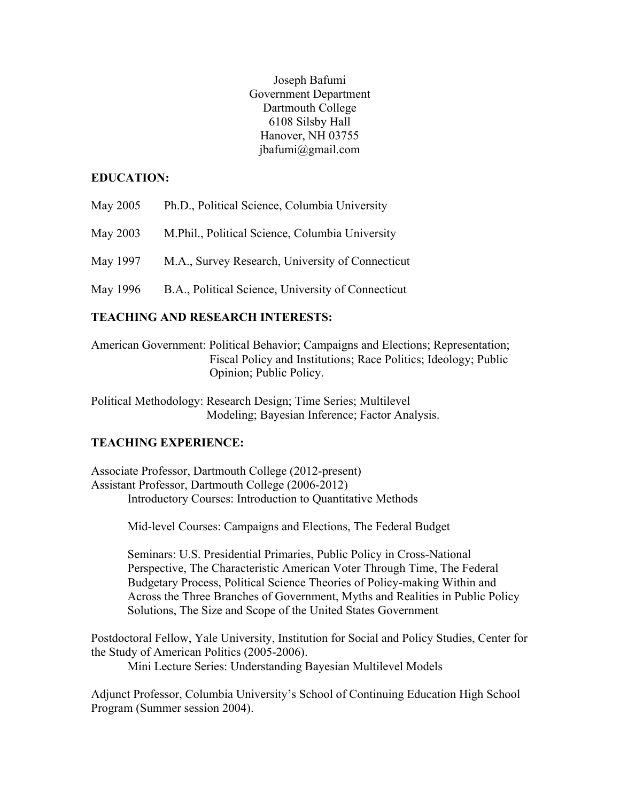Joseph Bafumi Government Department Dartmouth College 6108 Silsby Hall Hanover, NH 03755 jbafumi@gmail.com

### **EDUCATION:**

- May 2005 Ph.D., Political Science, Columbia University
- May 2003 M.Phil., Political Science, Columbia University
- May 1997 M.A., Survey Research, University of Connecticut
- May 1996 B.A., Political Science, University of Connecticut

### **TEACHING AND RESEARCH INTERESTS:**

American Government: Political Behavior; Campaigns and Elections; Representation; Fiscal Policy and Institutions; Race Politics; Ideology; Public Opinion; Public Policy.

Political Methodology: Research Design; Time Series; Multilevel Modeling; Bayesian Inference; Factor Analysis.

## **TEACHING EXPERIENCE:**

Associate Professor, Dartmouth College (2012-present) Assistant Professor, Dartmouth College (2006-2012) Introductory Courses: Introduction to Quantitative Methods

Mid-level Courses: Campaigns and Elections, The Federal Budget

Seminars: U.S. Presidential Primaries, Public Policy in Cross-National Perspective, The Characteristic American Voter Through Time, The Federal Budgetary Process, Political Science Theories of Policy-making Within and Across the Three Branches of Government, Myths and Realities in Public Policy Solutions, The Size and Scope of the United States Government

Postdoctoral Fellow, Yale University, Institution for Social and Policy Studies, Center for the Study of American Politics (2005-2006).

Mini Lecture Series: Understanding Bayesian Multilevel Models

Adjunct Professor, Columbia University's School of Continuing Education High School Program (Summer session 2004).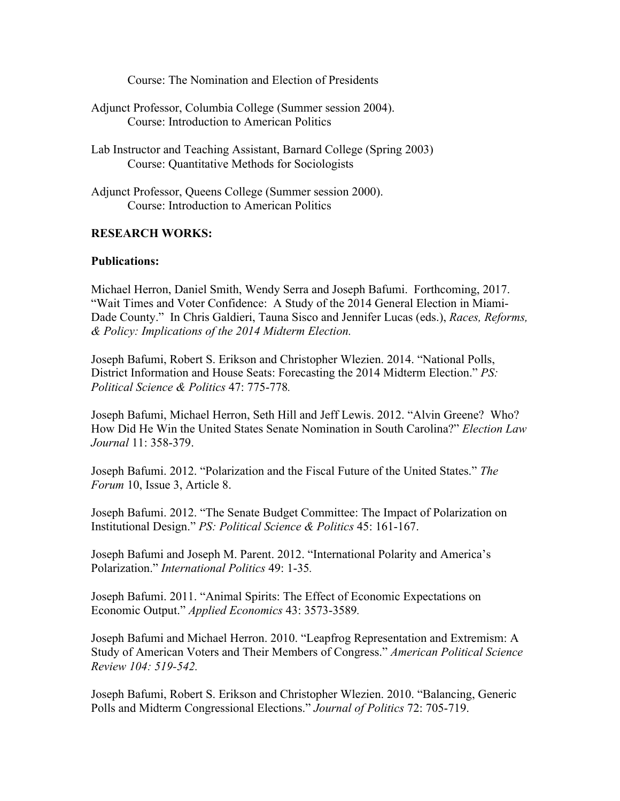Course: The Nomination and Election of Presidents

- Adjunct Professor, Columbia College (Summer session 2004). Course: Introduction to American Politics
- Lab Instructor and Teaching Assistant, Barnard College (Spring 2003) Course: Quantitative Methods for Sociologists
- Adjunct Professor, Queens College (Summer session 2000). Course: Introduction to American Politics

### **RESEARCH WORKS:**

### **Publications:**

Michael Herron, Daniel Smith, Wendy Serra and Joseph Bafumi. Forthcoming, 2017. "Wait Times and Voter Confidence: A Study of the 2014 General Election in Miami-Dade County." In Chris Galdieri, Tauna Sisco and Jennifer Lucas (eds.), *Races, Reforms, & Policy: Implications of the 2014 Midterm Election.*

Joseph Bafumi, Robert S. Erikson and Christopher Wlezien. 2014. "National Polls, District Information and House Seats: Forecasting the 2014 Midterm Election." *PS: Political Science & Politics* 47: 775-778*.*

Joseph Bafumi, Michael Herron, Seth Hill and Jeff Lewis. 2012. "Alvin Greene? Who? How Did He Win the United States Senate Nomination in South Carolina?" *Election Law Journal* 11: 358-379.

Joseph Bafumi. 2012. "Polarization and the Fiscal Future of the United States." *The Forum* 10, Issue 3, Article 8.

Joseph Bafumi. 2012. "The Senate Budget Committee: The Impact of Polarization on Institutional Design." *PS: Political Science & Politics* 45: 161-167.

Joseph Bafumi and Joseph M. Parent. 2012. "International Polarity and America's Polarization." *International Politics* 49: 1-35*.*

Joseph Bafumi. 2011. "Animal Spirits: The Effect of Economic Expectations on Economic Output." *Applied Economics* 43: 3573-3589*.*

Joseph Bafumi and Michael Herron. 2010. "Leapfrog Representation and Extremism: A Study of American Voters and Their Members of Congress." *American Political Science Review 104: 519-542.*

Joseph Bafumi, Robert S. Erikson and Christopher Wlezien. 2010. "Balancing, Generic Polls and Midterm Congressional Elections." *Journal of Politics* 72: 705-719.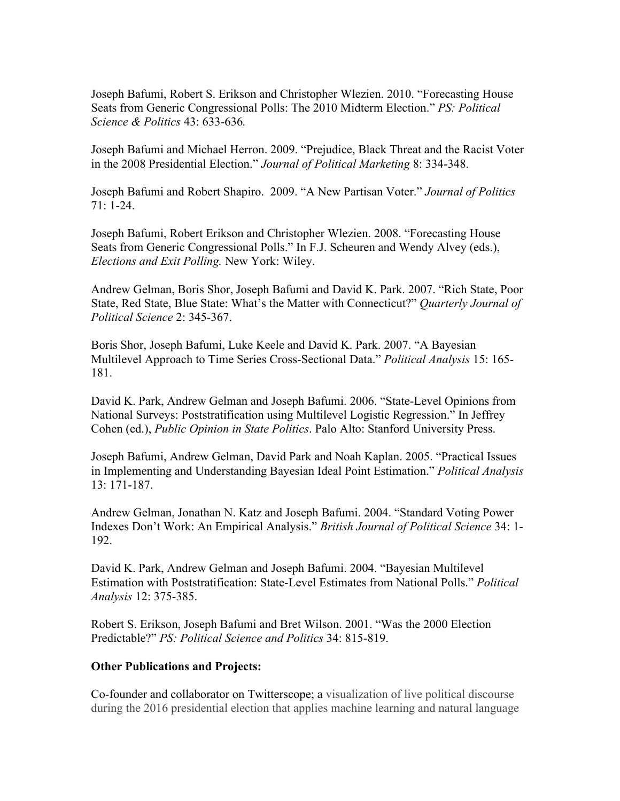Joseph Bafumi, Robert S. Erikson and Christopher Wlezien. 2010. "Forecasting House Seats from Generic Congressional Polls: The 2010 Midterm Election." *PS: Political Science & Politics* 43: 633-636*.*

Joseph Bafumi and Michael Herron. 2009. "Prejudice, Black Threat and the Racist Voter in the 2008 Presidential Election." *Journal of Political Marketing* 8: 334-348.

Joseph Bafumi and Robert Shapiro. 2009. "A New Partisan Voter." *Journal of Politics* 71: 1-24.

Joseph Bafumi, Robert Erikson and Christopher Wlezien. 2008. "Forecasting House Seats from Generic Congressional Polls." In F.J. Scheuren and Wendy Alvey (eds.), *Elections and Exit Polling.* New York: Wiley.

Andrew Gelman, Boris Shor, Joseph Bafumi and David K. Park. 2007. "Rich State, Poor State, Red State, Blue State: What's the Matter with Connecticut?" *Quarterly Journal of Political Science* 2: 345-367.

Boris Shor, Joseph Bafumi, Luke Keele and David K. Park. 2007. "A Bayesian Multilevel Approach to Time Series Cross-Sectional Data." *Political Analysis* 15: 165- 181.

David K. Park, Andrew Gelman and Joseph Bafumi. 2006. "State-Level Opinions from National Surveys: Poststratification using Multilevel Logistic Regression." In Jeffrey Cohen (ed.), *Public Opinion in State Politics*. Palo Alto: Stanford University Press.

Joseph Bafumi, Andrew Gelman, David Park and Noah Kaplan. 2005. "Practical Issues in Implementing and Understanding Bayesian Ideal Point Estimation." *Political Analysis*  13: 171-187.

Andrew Gelman, Jonathan N. Katz and Joseph Bafumi. 2004. "Standard Voting Power Indexes Don't Work: An Empirical Analysis." *British Journal of Political Science* 34: 1- 192.

David K. Park, Andrew Gelman and Joseph Bafumi. 2004. "Bayesian Multilevel Estimation with Poststratification: State-Level Estimates from National Polls." *Political Analysis* 12: 375-385.

Robert S. Erikson, Joseph Bafumi and Bret Wilson. 2001. "Was the 2000 Election Predictable?" *PS: Political Science and Politics* 34: 815-819.

### **Other Publications and Projects:**

Co-founder and collaborator on Twitterscope; a visualization of live political discourse during the 2016 presidential election that applies machine learning and natural language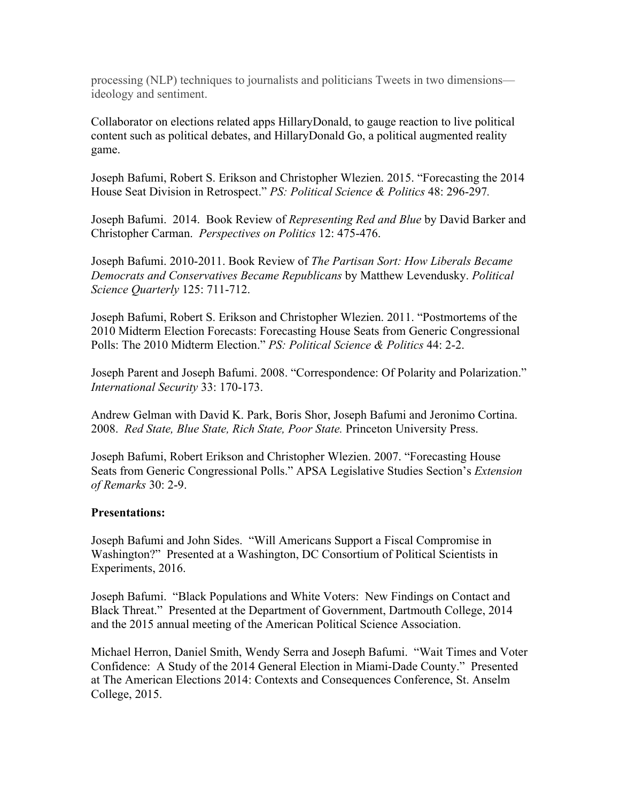processing (NLP) techniques to journalists and politicians Tweets in two dimensions ideology and sentiment.

Collaborator on elections related apps HillaryDonald, to gauge reaction to live political content such as political debates, and HillaryDonald Go, a political augmented reality game.

Joseph Bafumi, Robert S. Erikson and Christopher Wlezien. 2015. "Forecasting the 2014 House Seat Division in Retrospect." *PS: Political Science & Politics* 48: 296-297*.*

Joseph Bafumi. 2014. Book Review of *Representing Red and Blue* by David Barker and Christopher Carman. *Perspectives on Politics* 12: 475-476.

Joseph Bafumi. 2010-2011. Book Review of *The Partisan Sort: How Liberals Became Democrats and Conservatives Became Republicans* by Matthew Levendusky. *Political Science Quarterly* 125: 711-712.

Joseph Bafumi, Robert S. Erikson and Christopher Wlezien. 2011. "Postmortems of the 2010 Midterm Election Forecasts: Forecasting House Seats from Generic Congressional Polls: The 2010 Midterm Election." *PS: Political Science & Politics* 44: 2-2.

Joseph Parent and Joseph Bafumi. 2008. "Correspondence: Of Polarity and Polarization." *International Security* 33: 170-173.

Andrew Gelman with David K. Park, Boris Shor, Joseph Bafumi and Jeronimo Cortina. 2008. *Red State, Blue State, Rich State, Poor State.* Princeton University Press.

Joseph Bafumi, Robert Erikson and Christopher Wlezien. 2007. "Forecasting House Seats from Generic Congressional Polls." APSA Legislative Studies Section's *Extension of Remarks* 30: 2-9.

## **Presentations:**

Joseph Bafumi and John Sides. "Will Americans Support a Fiscal Compromise in Washington?" Presented at a Washington, DC Consortium of Political Scientists in Experiments, 2016.

Joseph Bafumi. "Black Populations and White Voters: New Findings on Contact and Black Threat." Presented at the Department of Government, Dartmouth College, 2014 and the 2015 annual meeting of the American Political Science Association.

Michael Herron, Daniel Smith, Wendy Serra and Joseph Bafumi. "Wait Times and Voter Confidence: A Study of the 2014 General Election in Miami-Dade County." Presented at The American Elections 2014: Contexts and Consequences Conference, St. Anselm College, 2015.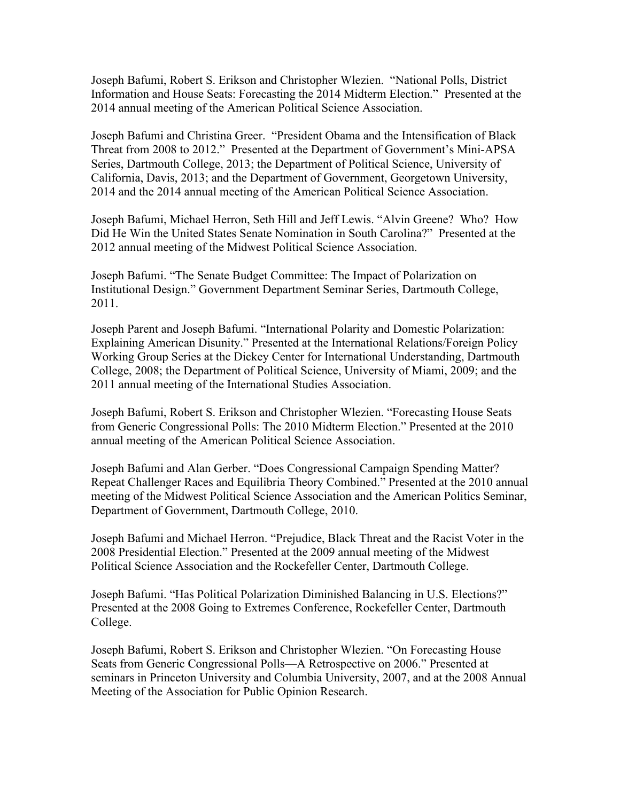Joseph Bafumi, Robert S. Erikson and Christopher Wlezien. "National Polls, District Information and House Seats: Forecasting the 2014 Midterm Election." Presented at the 2014 annual meeting of the American Political Science Association.

Joseph Bafumi and Christina Greer. "President Obama and the Intensification of Black Threat from 2008 to 2012." Presented at the Department of Government's Mini-APSA Series, Dartmouth College, 2013; the Department of Political Science, University of California, Davis, 2013; and the Department of Government, Georgetown University, 2014 and the 2014 annual meeting of the American Political Science Association.

Joseph Bafumi, Michael Herron, Seth Hill and Jeff Lewis. "Alvin Greene? Who? How Did He Win the United States Senate Nomination in South Carolina?" Presented at the 2012 annual meeting of the Midwest Political Science Association.

Joseph Bafumi. "The Senate Budget Committee: The Impact of Polarization on Institutional Design." Government Department Seminar Series, Dartmouth College, 2011.

Joseph Parent and Joseph Bafumi. "International Polarity and Domestic Polarization: Explaining American Disunity." Presented at the International Relations/Foreign Policy Working Group Series at the Dickey Center for International Understanding, Dartmouth College, 2008; the Department of Political Science, University of Miami, 2009; and the 2011 annual meeting of the International Studies Association.

Joseph Bafumi, Robert S. Erikson and Christopher Wlezien. "Forecasting House Seats from Generic Congressional Polls: The 2010 Midterm Election." Presented at the 2010 annual meeting of the American Political Science Association.

Joseph Bafumi and Alan Gerber. "Does Congressional Campaign Spending Matter? Repeat Challenger Races and Equilibria Theory Combined." Presented at the 2010 annual meeting of the Midwest Political Science Association and the American Politics Seminar, Department of Government, Dartmouth College, 2010.

Joseph Bafumi and Michael Herron. "Prejudice, Black Threat and the Racist Voter in the 2008 Presidential Election." Presented at the 2009 annual meeting of the Midwest Political Science Association and the Rockefeller Center, Dartmouth College.

Joseph Bafumi. "Has Political Polarization Diminished Balancing in U.S. Elections?" Presented at the 2008 Going to Extremes Conference, Rockefeller Center, Dartmouth College.

Joseph Bafumi, Robert S. Erikson and Christopher Wlezien. "On Forecasting House Seats from Generic Congressional Polls—A Retrospective on 2006." Presented at seminars in Princeton University and Columbia University, 2007, and at the 2008 Annual Meeting of the Association for Public Opinion Research.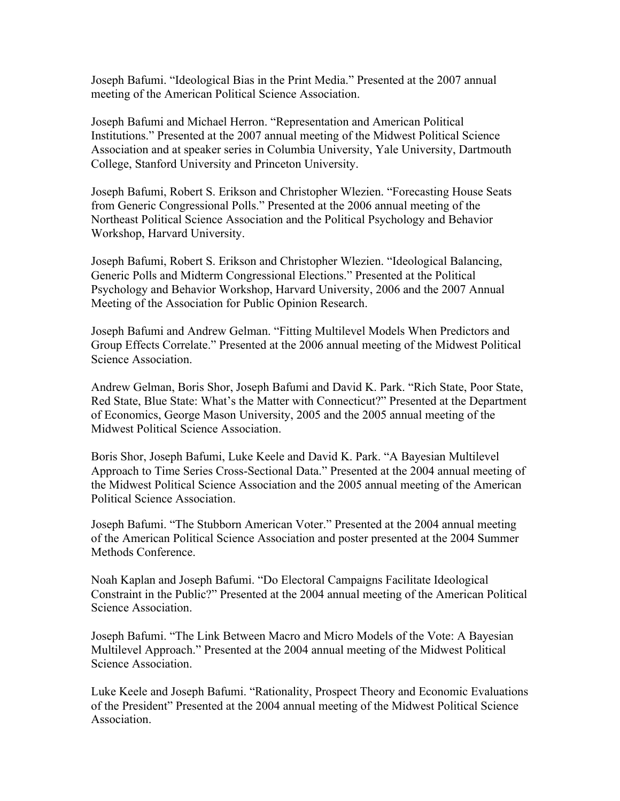Joseph Bafumi. "Ideological Bias in the Print Media." Presented at the 2007 annual meeting of the American Political Science Association.

Joseph Bafumi and Michael Herron. "Representation and American Political Institutions." Presented at the 2007 annual meeting of the Midwest Political Science Association and at speaker series in Columbia University, Yale University, Dartmouth College, Stanford University and Princeton University.

Joseph Bafumi, Robert S. Erikson and Christopher Wlezien. "Forecasting House Seats from Generic Congressional Polls." Presented at the 2006 annual meeting of the Northeast Political Science Association and the Political Psychology and Behavior Workshop, Harvard University.

Joseph Bafumi, Robert S. Erikson and Christopher Wlezien. "Ideological Balancing, Generic Polls and Midterm Congressional Elections." Presented at the Political Psychology and Behavior Workshop, Harvard University, 2006 and the 2007 Annual Meeting of the Association for Public Opinion Research.

Joseph Bafumi and Andrew Gelman. "Fitting Multilevel Models When Predictors and Group Effects Correlate." Presented at the 2006 annual meeting of the Midwest Political Science Association.

Andrew Gelman, Boris Shor, Joseph Bafumi and David K. Park. "Rich State, Poor State, Red State, Blue State: What's the Matter with Connecticut?" Presented at the Department of Economics, George Mason University, 2005 and the 2005 annual meeting of the Midwest Political Science Association.

Boris Shor, Joseph Bafumi, Luke Keele and David K. Park. "A Bayesian Multilevel Approach to Time Series Cross-Sectional Data." Presented at the 2004 annual meeting of the Midwest Political Science Association and the 2005 annual meeting of the American Political Science Association.

Joseph Bafumi. "The Stubborn American Voter." Presented at the 2004 annual meeting of the American Political Science Association and poster presented at the 2004 Summer Methods Conference.

Noah Kaplan and Joseph Bafumi. "Do Electoral Campaigns Facilitate Ideological Constraint in the Public?" Presented at the 2004 annual meeting of the American Political Science Association.

Joseph Bafumi. "The Link Between Macro and Micro Models of the Vote: A Bayesian Multilevel Approach." Presented at the 2004 annual meeting of the Midwest Political Science Association.

Luke Keele and Joseph Bafumi. "Rationality, Prospect Theory and Economic Evaluations of the President" Presented at the 2004 annual meeting of the Midwest Political Science **Association**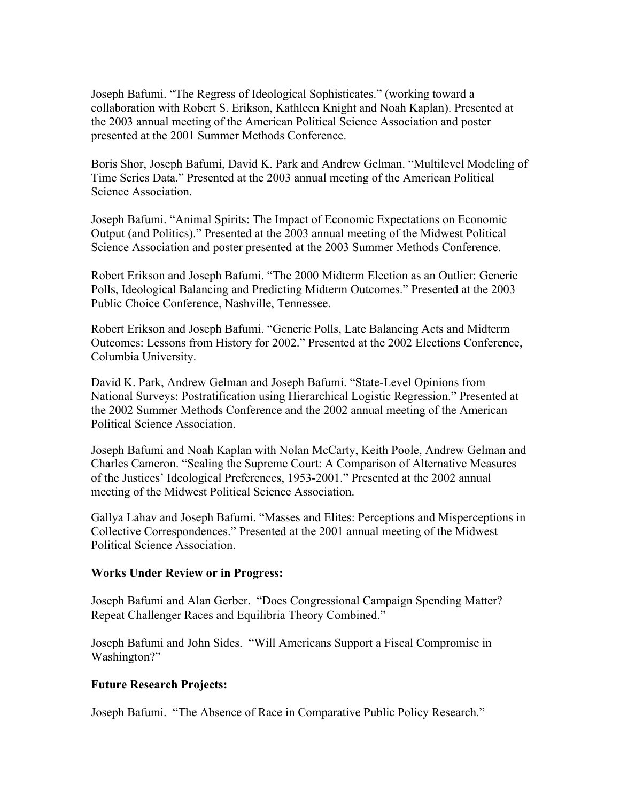Joseph Bafumi. "The Regress of Ideological Sophisticates." (working toward a collaboration with Robert S. Erikson, Kathleen Knight and Noah Kaplan). Presented at the 2003 annual meeting of the American Political Science Association and poster presented at the 2001 Summer Methods Conference.

Boris Shor, Joseph Bafumi, David K. Park and Andrew Gelman. "Multilevel Modeling of Time Series Data." Presented at the 2003 annual meeting of the American Political Science Association.

Joseph Bafumi. "Animal Spirits: The Impact of Economic Expectations on Economic Output (and Politics)." Presented at the 2003 annual meeting of the Midwest Political Science Association and poster presented at the 2003 Summer Methods Conference.

Robert Erikson and Joseph Bafumi. "The 2000 Midterm Election as an Outlier: Generic Polls, Ideological Balancing and Predicting Midterm Outcomes." Presented at the 2003 Public Choice Conference, Nashville, Tennessee.

Robert Erikson and Joseph Bafumi. "Generic Polls, Late Balancing Acts and Midterm Outcomes: Lessons from History for 2002." Presented at the 2002 Elections Conference, Columbia University.

David K. Park, Andrew Gelman and Joseph Bafumi. "State-Level Opinions from National Surveys: Postratification using Hierarchical Logistic Regression." Presented at the 2002 Summer Methods Conference and the 2002 annual meeting of the American Political Science Association.

Joseph Bafumi and Noah Kaplan with Nolan McCarty, Keith Poole, Andrew Gelman and Charles Cameron. "Scaling the Supreme Court: A Comparison of Alternative Measures of the Justices' Ideological Preferences, 1953-2001." Presented at the 2002 annual meeting of the Midwest Political Science Association.

Gallya Lahav and Joseph Bafumi. "Masses and Elites: Perceptions and Misperceptions in Collective Correspondences." Presented at the 2001 annual meeting of the Midwest Political Science Association.

### **Works Under Review or in Progress:**

Joseph Bafumi and Alan Gerber. "Does Congressional Campaign Spending Matter? Repeat Challenger Races and Equilibria Theory Combined."

Joseph Bafumi and John Sides. "Will Americans Support a Fiscal Compromise in Washington?"

### **Future Research Projects:**

Joseph Bafumi. "The Absence of Race in Comparative Public Policy Research."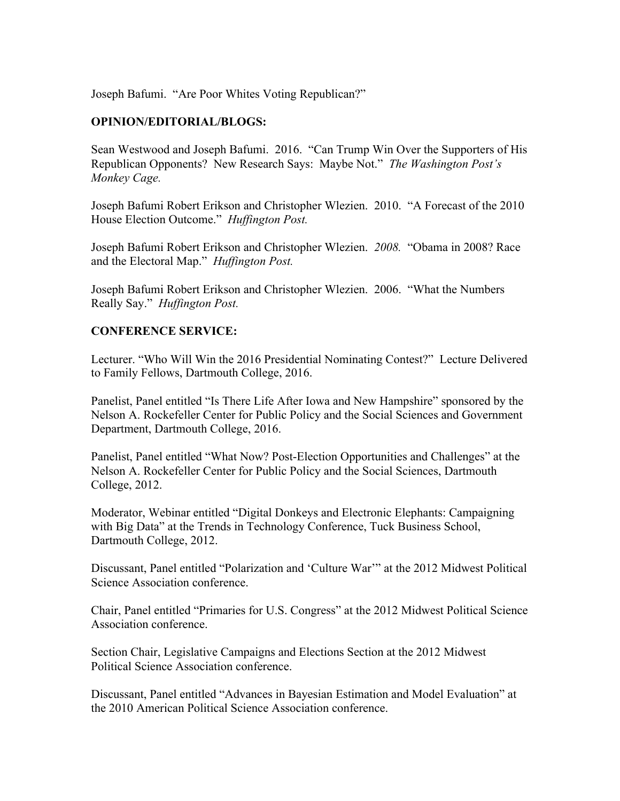Joseph Bafumi. "Are Poor Whites Voting Republican?"

### **OPINION/EDITORIAL/BLOGS:**

Sean Westwood and Joseph Bafumi. 2016. "Can Trump Win Over the Supporters of His Republican Opponents? New Research Says: Maybe Not." *The Washington Post's Monkey Cage.*

Joseph Bafumi Robert Erikson and Christopher Wlezien. 2010. "A Forecast of the 2010 House Election Outcome." *Huffington Post.*

Joseph Bafumi Robert Erikson and Christopher Wlezien. *2008.* "Obama in 2008? Race and the Electoral Map." *Huffington Post.*

Joseph Bafumi Robert Erikson and Christopher Wlezien. 2006. "What the Numbers Really Say." *Huffington Post.*

#### **CONFERENCE SERVICE:**

Lecturer. "Who Will Win the 2016 Presidential Nominating Contest?" Lecture Delivered to Family Fellows, Dartmouth College, 2016.

Panelist, Panel entitled "Is There Life After Iowa and New Hampshire" sponsored by the Nelson A. Rockefeller Center for Public Policy and the Social Sciences and Government Department, Dartmouth College, 2016.

Panelist, Panel entitled "What Now? Post-Election Opportunities and Challenges" at the Nelson A. Rockefeller Center for Public Policy and the Social Sciences, Dartmouth College, 2012.

Moderator, Webinar entitled "Digital Donkeys and Electronic Elephants: Campaigning with Big Data" at the Trends in Technology Conference, Tuck Business School, Dartmouth College, 2012.

Discussant, Panel entitled "Polarization and 'Culture War'" at the 2012 Midwest Political Science Association conference.

Chair, Panel entitled "Primaries for U.S. Congress" at the 2012 Midwest Political Science Association conference.

Section Chair, Legislative Campaigns and Elections Section at the 2012 Midwest Political Science Association conference.

Discussant, Panel entitled "Advances in Bayesian Estimation and Model Evaluation" at the 2010 American Political Science Association conference.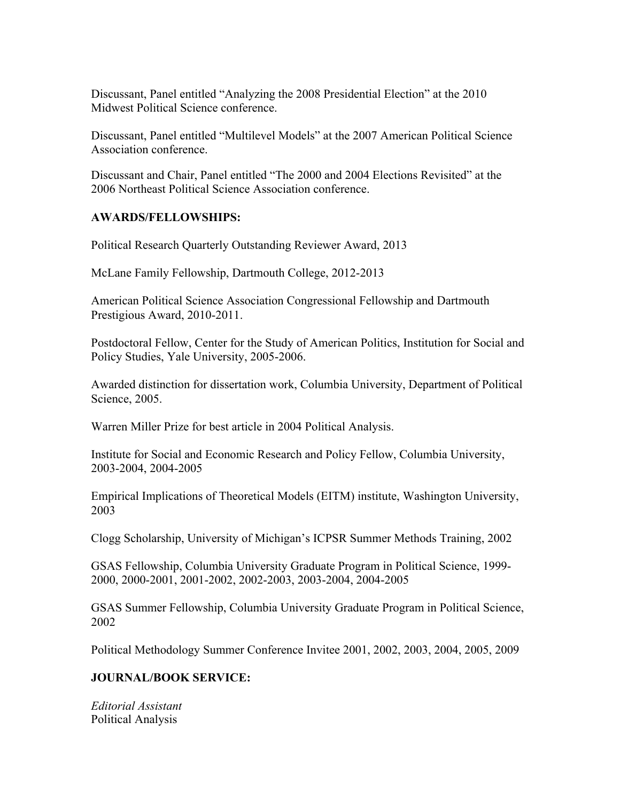Discussant, Panel entitled "Analyzing the 2008 Presidential Election" at the 2010 Midwest Political Science conference.

Discussant, Panel entitled "Multilevel Models" at the 2007 American Political Science Association conference.

Discussant and Chair, Panel entitled "The 2000 and 2004 Elections Revisited" at the 2006 Northeast Political Science Association conference.

### **AWARDS/FELLOWSHIPS:**

Political Research Quarterly Outstanding Reviewer Award, 2013

McLane Family Fellowship, Dartmouth College, 2012-2013

American Political Science Association Congressional Fellowship and Dartmouth Prestigious Award, 2010-2011.

Postdoctoral Fellow, Center for the Study of American Politics, Institution for Social and Policy Studies, Yale University, 2005-2006.

Awarded distinction for dissertation work, Columbia University, Department of Political Science, 2005.

Warren Miller Prize for best article in 2004 Political Analysis.

Institute for Social and Economic Research and Policy Fellow, Columbia University, 2003-2004, 2004-2005

Empirical Implications of Theoretical Models (EITM) institute, Washington University, 2003

Clogg Scholarship, University of Michigan's ICPSR Summer Methods Training, 2002

GSAS Fellowship, Columbia University Graduate Program in Political Science, 1999- 2000, 2000-2001, 2001-2002, 2002-2003, 2003-2004, 2004-2005

GSAS Summer Fellowship, Columbia University Graduate Program in Political Science, 2002

Political Methodology Summer Conference Invitee 2001, 2002, 2003, 2004, 2005, 2009

### **JOURNAL/BOOK SERVICE:**

*Editorial Assistant* Political Analysis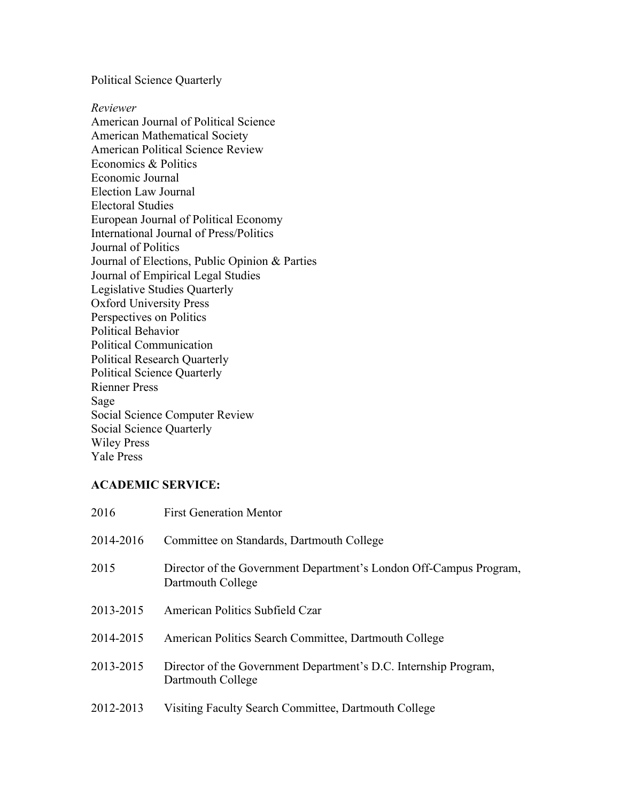Political Science Quarterly

*Reviewer* American Journal of Political Science American Mathematical Society American Political Science Review Economics & Politics Economic Journal Election Law Journal Electoral Studies European Journal of Political Economy International Journal of Press/Politics Journal of Politics Journal of Elections, Public Opinion & Parties Journal of Empirical Legal Studies Legislative Studies Quarterly Oxford University Press Perspectives on Politics Political Behavior Political Communication Political Research Quarterly Political Science Quarterly Rienner Press Sage Social Science Computer Review Social Science Quarterly Wiley Press Yale Press

## **ACADEMIC SERVICE:**

| 2016      | <b>First Generation Mentor</b>                                                          |
|-----------|-----------------------------------------------------------------------------------------|
| 2014-2016 | Committee on Standards, Dartmouth College                                               |
| 2015      | Director of the Government Department's London Off-Campus Program,<br>Dartmouth College |
| 2013-2015 | American Politics Subfield Czar                                                         |
| 2014-2015 | American Politics Search Committee, Dartmouth College                                   |
| 2013-2015 | Director of the Government Department's D.C. Internship Program,<br>Dartmouth College   |
| 2012-2013 | Visiting Faculty Search Committee, Dartmouth College                                    |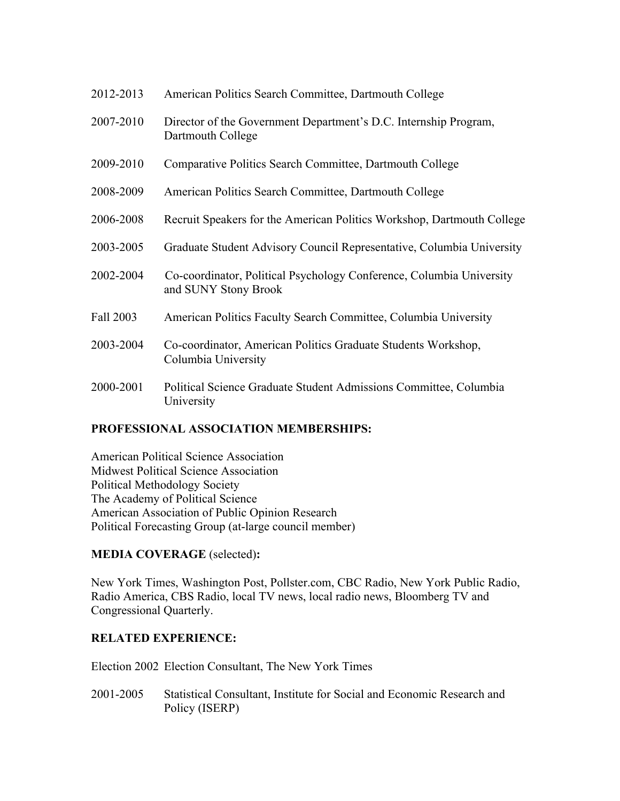| 2012-2013 | American Politics Search Committee, Dartmouth College                                        |
|-----------|----------------------------------------------------------------------------------------------|
| 2007-2010 | Director of the Government Department's D.C. Internship Program,<br>Dartmouth College        |
| 2009-2010 | Comparative Politics Search Committee, Dartmouth College                                     |
| 2008-2009 | American Politics Search Committee, Dartmouth College                                        |
| 2006-2008 | Recruit Speakers for the American Politics Workshop, Dartmouth College                       |
| 2003-2005 | Graduate Student Advisory Council Representative, Columbia University                        |
| 2002-2004 | Co-coordinator, Political Psychology Conference, Columbia University<br>and SUNY Stony Brook |
| Fall 2003 | American Politics Faculty Search Committee, Columbia University                              |
| 2003-2004 | Co-coordinator, American Politics Graduate Students Workshop,<br>Columbia University         |
| 2000-2001 | Political Science Graduate Student Admissions Committee, Columbia<br>University              |

## **PROFESSIONAL ASSOCIATION MEMBERSHIPS:**

American Political Science Association Midwest Political Science Association Political Methodology Society The Academy of Political Science American Association of Public Opinion Research Political Forecasting Group (at-large council member)

# **MEDIA COVERAGE** (selected)**:**

New York Times, Washington Post, Pollster.com, CBC Radio, New York Public Radio, Radio America, CBS Radio, local TV news, local radio news, Bloomberg TV and Congressional Quarterly.

## **RELATED EXPERIENCE:**

Election 2002 Election Consultant, The New York Times

2001-2005 Statistical Consultant, Institute for Social and Economic Research and Policy (ISERP)